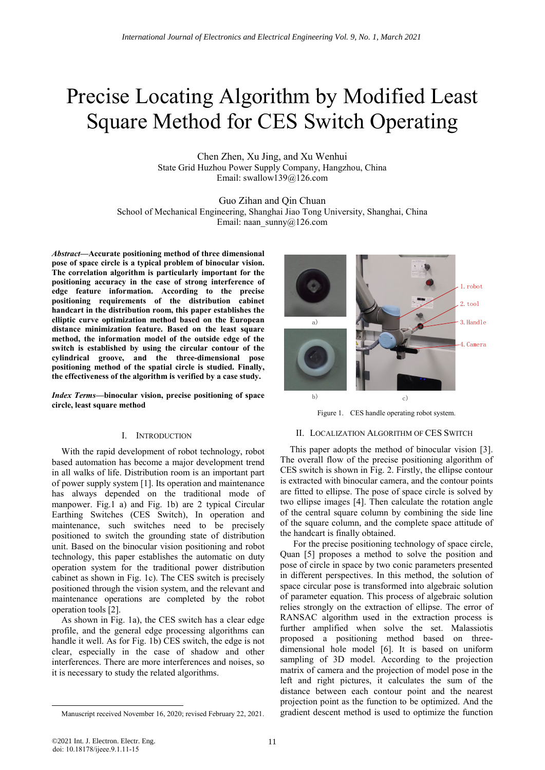## Precise Locating Algorithm by Modified Least Square Method for CES Switch Operating

Chen Zhen, Xu Jing, and Xu Wenhui State Grid Huzhou Power Supply Company, Hangzhou, China Email: swallow139@126.com

Guo Zihan and Qin Chuan School of Mechanical Engineering, Shanghai Jiao Tong University, Shanghai, China Email: naan\_sunny@126.com

*Abstract***—Accurate positioning method of three dimensional pose of space circle is a typical problem of binocular vision. The correlation algorithm is particularly important for the positioning accuracy in the case of strong interference of edge feature information. According to the precise positioning requirements of the distribution cabinet handcart in the distribution room, this paper establishes the elliptic curve optimization method based on the European distance minimization feature. Based on the least square method, the information model of the outside edge of the switch is established by using the circular contour of the cylindrical groove, and the three-dimensional pose positioning method of the spatial circle is studied. Finally, the effectiveness of the algorithm is verified by a case study.**

*Index Terms—***binocular vision, precise positioning of space circle, least square method**

## I. INTRODUCTION

With the rapid development of robot technology, robot based automation has become a major development trend in all walks of life. Distribution room is an important part of power supply system [1]. Its operation and maintenance has always depended on the traditional mode of manpower. Fig.1 a) and Fig. 1b) are 2 typical Circular Earthing Switches (CES Switch), In operation and maintenance, such switches need to be precisely positioned to switch the grounding state of distribution unit. Based on the binocular vision positioning and robot technology, this paper establishes the automatic on duty operation system for the traditional power distribution cabinet as shown in Fig. 1c). The CES switch is precisely positioned through the vision system, and the relevant and maintenance operations are completed by the robot operation tools [2].

As shown in Fig. 1a), the CES switch has a clear edge profile, and the general edge processing algorithms can handle it well. As for Fig. 1b) CES switch, the edge is not clear, especially in the case of shadow and other interferences. There are more interferences and noises, so it is necessary to study the related algorithms.



Figure 1. CES handle operating robot system.

## II. LOCALIZATION ALGORITHM OF CES SWITCH

This paper adopts the method of binocular vision [3]. The overall flow of the precise positioning algorithm of CES switch is shown in Fig. 2. Firstly, the ellipse contour is extracted with binocular camera, and the contour points are fitted to ellipse. The pose of space circle is solved by two ellipse images [4]. Then calculate the rotation angle of the central square column by combining the side line of the square column, and the complete space attitude of the handcart is finally obtained.

For the precise positioning technology of space circle, Quan [5] proposes a method to solve the position and pose of circle in space by two conic parameters presented in different perspectives. In this method, the solution of space circular pose is transformed into algebraic solution of parameter equation. This process of algebraic solution relies strongly on the extraction of ellipse. The error of RANSAC algorithm used in the extraction process is further amplified when solve the set. Malassiotis proposed a positioning method based on threedimensional hole model [6]. It is based on uniform sampling of 3D model. According to the projection matrix of camera and the projection of model pose in the left and right pictures, it calculates the sum of the distance between each contour point and the nearest projection point as the function to be optimized. And the gradient descent method is used to optimize the function

<span id="page-0-0"></span>Manuscript received November 16, 2020; revised February 22, 2021.